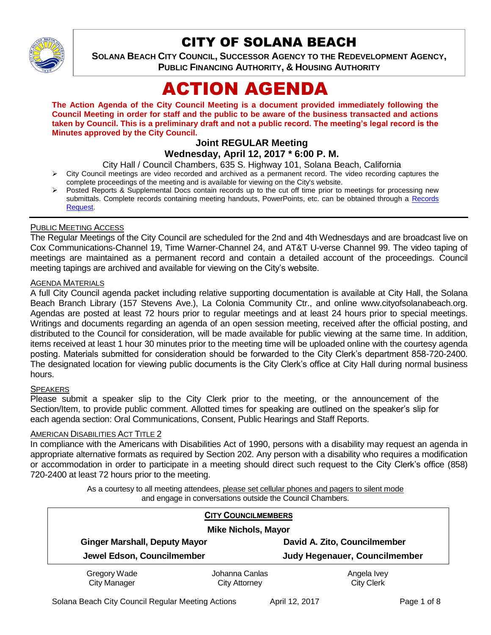

# CITY OF SOLANA BEACH

**SOLANA BEACH CITY COUNCIL, SUCCESSOR AGENCY TO THE REDEVELOPMENT AGENCY, PUBLIC FINANCING AUTHORITY, & HOUSING AUTHORITY** 

# ACTION AGENDA

**The Action Agenda of the City Council Meeting is a document provided immediately following the Council Meeting in order for staff and the public to be aware of the business transacted and actions taken by Council. This is a preliminary draft and not a public record. The meeting's legal record is the Minutes approved by the City Council.**

# **Joint REGULAR Meeting**

# **Wednesday, April 12, 2017 \* 6:00 P. M.**

City Hall / Council Chambers, 635 S. Highway 101, Solana Beach, California

- $\triangleright$  City Council meetings are video recorded and archived as a permanent record. The video recording captures the complete proceedings of the meeting and is available for viewing on the City's website.
- Posted Reports & Supplemental Docs contain records up to the cut off time prior to meetings for processing new submittals. Complete records containing meeting handouts, PowerPoints, etc. can be obtained through a Records [Request.](http://www.ci.solana-beach.ca.us/index.asp?SEC=F5D45D10-70CE-4291-A27C-7BD633FC6742&Type=B_BASIC)

#### PUBLIC MEETING ACCESS

The Regular Meetings of the City Council are scheduled for the 2nd and 4th Wednesdays and are broadcast live on Cox Communications-Channel 19, Time Warner-Channel 24, and AT&T U-verse Channel 99. The video taping of meetings are maintained as a permanent record and contain a detailed account of the proceedings. Council meeting tapings are archived and available for viewing on the City's website.

# **AGENDA MATERIALS**

A full City Council agenda packet including relative supporting documentation is available at City Hall, the Solana Beach Branch Library (157 Stevens Ave.), La Colonia Community Ctr., and online www.cityofsolanabeach.org. Agendas are posted at least 72 hours prior to regular meetings and at least 24 hours prior to special meetings. Writings and documents regarding an agenda of an open session meeting, received after the official posting, and distributed to the Council for consideration, will be made available for public viewing at the same time. In addition, items received at least 1 hour 30 minutes prior to the meeting time will be uploaded online with the courtesy agenda posting. Materials submitted for consideration should be forwarded to the City Clerk's department 858-720-2400. The designated location for viewing public documents is the City Clerk's office at City Hall during normal business hours.

#### **SPEAKERS**

Please submit a speaker slip to the City Clerk prior to the meeting, or the announcement of the Section/Item, to provide public comment. Allotted times for speaking are outlined on the speaker's slip for each agenda section: Oral Communications, Consent, Public Hearings and Staff Reports.

#### AMERICAN DISABILITIES ACT TITLE 2

In compliance with the Americans with Disabilities Act of 1990, persons with a disability may request an agenda in appropriate alternative formats as required by Section 202. Any person with a disability who requires a modification or accommodation in order to participate in a meeting should direct such request to the City Clerk's office (858) 720-2400 at least 72 hours prior to the meeting.

> As a courtesy to all meeting attendees, please set cellular phones and pagers to silent mode and engage in conversations outside the Council Chambers.

| <b>CITY COUNCILMEMBERS</b><br><b>Mike Nichols, Mayor</b> |                                        |                                  |
|----------------------------------------------------------|----------------------------------------|----------------------------------|
| <b>Ginger Marshall, Deputy Mayor</b>                     |                                        | David A. Zito, Councilmember     |
| Jewel Edson, Councilmember                               |                                        | Judy Hegenauer, Councilmember    |
| Gregory Wade<br><b>City Manager</b>                      | Johanna Canlas<br><b>City Attorney</b> | Angela Ivey<br><b>City Clerk</b> |

Solana Beach City Council Regular Meeting Actions April 12, 2017 **Page 1 of 8** Page 1 of 8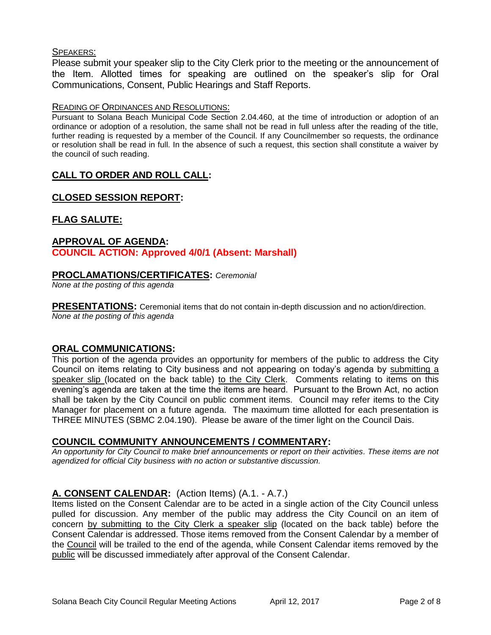#### SPEAKERS:

Please submit your speaker slip to the City Clerk prior to the meeting or the announcement of the Item. Allotted times for speaking are outlined on the speaker's slip for Oral Communications, Consent, Public Hearings and Staff Reports.

#### READING OF ORDINANCES AND RESOLUTIONS:

Pursuant to Solana Beach Municipal Code Section 2.04.460, at the time of introduction or adoption of an ordinance or adoption of a resolution, the same shall not be read in full unless after the reading of the title, further reading is requested by a member of the Council. If any Councilmember so requests, the ordinance or resolution shall be read in full. In the absence of such a request, this section shall constitute a waiver by the council of such reading.

# **CALL TO ORDER AND ROLL CALL:**

# **CLOSED SESSION REPORT:**

# **FLAG SALUTE:**

# **APPROVAL OF AGENDA: COUNCIL ACTION: Approved 4/0/1 (Absent: Marshall)**

#### **PROCLAMATIONS/CERTIFICATES:** *Ceremonial*

*None at the posting of this agenda*

**PRESENTATIONS:** Ceremonial items that do not contain in-depth discussion and no action/direction. *None at the posting of this agenda*

#### **ORAL COMMUNICATIONS:**

This portion of the agenda provides an opportunity for members of the public to address the City Council on items relating to City business and not appearing on today's agenda by submitting a speaker slip (located on the back table) to the City Clerk. Comments relating to items on this evening's agenda are taken at the time the items are heard. Pursuant to the Brown Act, no action shall be taken by the City Council on public comment items. Council may refer items to the City Manager for placement on a future agenda. The maximum time allotted for each presentation is THREE MINUTES (SBMC 2.04.190). Please be aware of the timer light on the Council Dais.

#### **COUNCIL COMMUNITY ANNOUNCEMENTS / COMMENTARY:**

*An opportunity for City Council to make brief announcements or report on their activities. These items are not agendized for official City business with no action or substantive discussion.* 

# **A. CONSENT CALENDAR:** (Action Items) (A.1. - A.7.)

Items listed on the Consent Calendar are to be acted in a single action of the City Council unless pulled for discussion. Any member of the public may address the City Council on an item of concern by submitting to the City Clerk a speaker slip (located on the back table) before the Consent Calendar is addressed. Those items removed from the Consent Calendar by a member of the Council will be trailed to the end of the agenda, while Consent Calendar items removed by the public will be discussed immediately after approval of the Consent Calendar.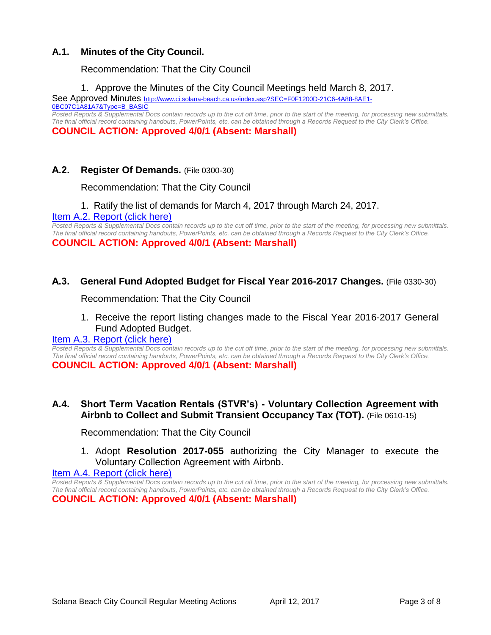# **A.1. Minutes of the City Council.**

Recommendation: That the City Council

1. Approve the Minutes of the City Council Meetings held March 8, 2017.

See Approved Minutes [http://www.ci.solana-beach.ca.us/index.asp?SEC=F0F1200D-21C6-4A88-8AE1-](http://www.ci.solana-beach.ca.us/index.asp?SEC=F0F1200D-21C6-4A88-8AE1-0BC07C1A81A7&Type=B_BASIC) [0BC07C1A81A7&Type=B\\_BASIC](http://www.ci.solana-beach.ca.us/index.asp?SEC=F0F1200D-21C6-4A88-8AE1-0BC07C1A81A7&Type=B_BASIC) *Posted Reports & Supplemental Docs contain records up to the cut off time, prior to the start of the meeting, for processing new submittals.* 

*The final official record containing handouts, PowerPoints, etc. can be obtained through a Records Request to the City Clerk's Office.*

**COUNCIL ACTION: Approved 4/0/1 (Absent: Marshall)** 

# **A.2. Register Of Demands.** (File 0300-30)

Recommendation: That the City Council

#### 1. Ratify the list of demands for March 4, 2017 through March 24, 2017.

[Item A.2. Report \(click here\)](https://solanabeach.govoffice3.com/vertical/Sites/%7B840804C2-F869-4904-9AE3-720581350CE7%7D/uploads/Item_A.2._Report_(Click_here)_4-12-17.PDF)

*Posted Reports & Supplemental Docs contain records up to the cut off time, prior to the start of the meeting, for processing new submittals. The final official record containing handouts, PowerPoints, etc. can be obtained through a Records Request to the City Clerk's Office.* **COUNCIL ACTION: Approved 4/0/1 (Absent: Marshall)** 

#### **A.3. General Fund Adopted Budget for Fiscal Year 2016-2017 Changes.** (File 0330-30)

Recommendation: That the City Council

1. Receive the report listing changes made to the Fiscal Year 2016-2017 General Fund Adopted Budget.

#### [Item A.3. Report \(click here\)](https://solanabeach.govoffice3.com/vertical/Sites/%7B840804C2-F869-4904-9AE3-720581350CE7%7D/uploads/Item_A.3._Report_(Click_here)_4-12-17.PDF)

*Posted Reports & Supplemental Docs contain records up to the cut off time, prior to the start of the meeting, for processing new submittals. The final official record containing handouts, PowerPoints, etc. can be obtained through a Records Request to the City Clerk's Office.* **COUNCIL ACTION: Approved 4/0/1 (Absent: Marshall)** 

# **A.4. Short Term Vacation Rentals (STVR's) - Voluntary Collection Agreement with Airbnb to Collect and Submit Transient Occupancy Tax (TOT).** (File 0610-15)

Recommendation: That the City Council

# 1. Adopt **Resolution 2017-055** authorizing the City Manager to execute the Voluntary Collection Agreement with Airbnb.

[Item A.4. Report \(click here\)](https://solanabeach.govoffice3.com/vertical/Sites/%7B840804C2-F869-4904-9AE3-720581350CE7%7D/uploads/Item_A.4._Report_(Click_here)_4-12-17.PDF)

*Posted Reports & Supplemental Docs contain records up to the cut off time, prior to the start of the meeting, for processing new submittals. The final official record containing handouts, PowerPoints, etc. can be obtained through a Records Request to the City Clerk's Office.* **COUNCIL ACTION: Approved 4/0/1 (Absent: Marshall)**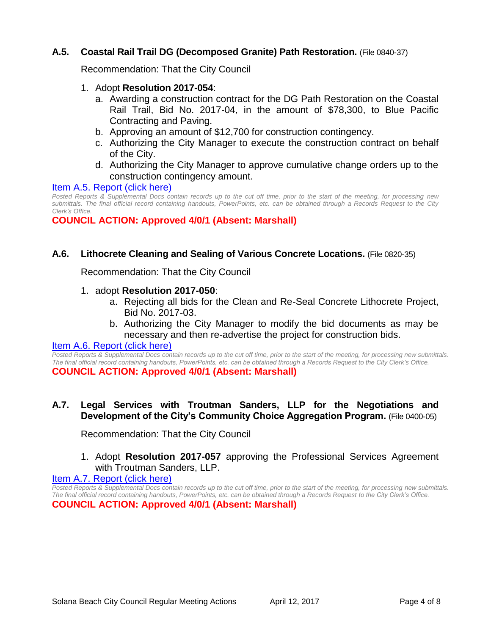# **A.5. Coastal Rail Trail DG (Decomposed Granite) Path Restoration.** (File 0840-37)

Recommendation: That the City Council

- 1. Adopt **Resolution 2017-054**:
	- a. Awarding a construction contract for the DG Path Restoration on the Coastal Rail Trail, Bid No. 2017-04, in the amount of \$78,300, to Blue Pacific Contracting and Paving.
	- b. Approving an amount of \$12,700 for construction contingency.
	- c. Authorizing the City Manager to execute the construction contract on behalf of the City.
	- d. Authorizing the City Manager to approve cumulative change orders up to the construction contingency amount.

#### Item A.5. [Report \(click here\)](https://solanabeach.govoffice3.com/vertical/Sites/%7B840804C2-F869-4904-9AE3-720581350CE7%7D/uploads/Item_A.5._Report_(Click_here)_4-12-17.PDF)

*Posted Reports & Supplemental Docs contain records up to the cut off time, prior to the start of the meeting, for processing new submittals. The final official record containing handouts, PowerPoints, etc. can be obtained through a Records Request to the City Clerk's Office.*

**COUNCIL ACTION: Approved 4/0/1 (Absent: Marshall)** 

#### **A.6. Lithocrete Cleaning and Sealing of Various Concrete Locations.** (File 0820-35)

Recommendation: That the City Council

#### 1. adopt **Resolution 2017-050**:

- a. Rejecting all bids for the Clean and Re-Seal Concrete Lithocrete Project, Bid No. 2017-03.
- b. Authorizing the City Manager to modify the bid documents as may be necessary and then re-advertise the project for construction bids.

#### [Item A.6. Report \(click here\)](https://solanabeach.govoffice3.com/vertical/Sites/%7B840804C2-F869-4904-9AE3-720581350CE7%7D/uploads/Item_A.6._Report_(Click_here)_4-12-17.PDF)

*Posted Reports & Supplemental Docs contain records up to the cut off time, prior to the start of the meeting, for processing new submittals. The final official record containing handouts, PowerPoints, etc. can be obtained through a Records Request to the City Clerk's Office.* **COUNCIL ACTION: Approved 4/0/1 (Absent: Marshall)** 

#### **A.7. Legal Services with Troutman Sanders, LLP for the Negotiations and Development of the City's Community Choice Aggregation Program.** (File 0400-05)

Recommendation: That the City Council

# 1. Adopt **Resolution 2017-057** approving the Professional Services Agreement with Troutman Sanders, LLP.

[Item A.7. Report \(click](https://solanabeach.govoffice3.com/vertical/Sites/%7B840804C2-F869-4904-9AE3-720581350CE7%7D/uploads/Item_A.7._Report_(Click_here)_4-12-17.PDF) here)

*Posted Reports & Supplemental Docs contain records up to the cut off time, prior to the start of the meeting, for processing new submittals. The final official record containing handouts, PowerPoints, etc. can be obtained through a Records Request to the City Clerk's Office.* **COUNCIL ACTION: Approved 4/0/1 (Absent: Marshall)**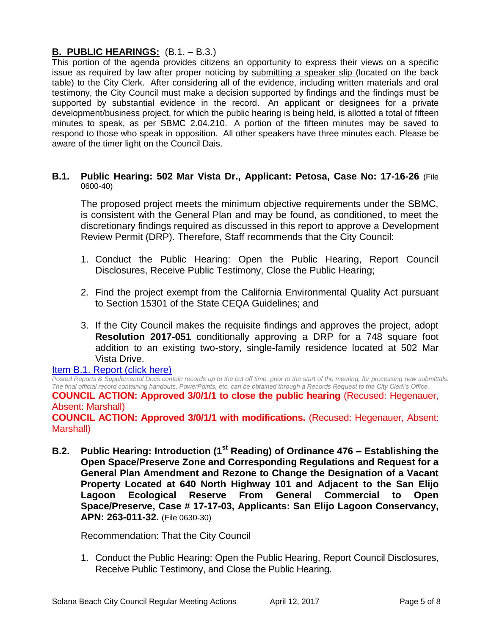# **B. PUBLIC HEARINGS:** (B.1. – B.3.)

This portion of the agenda provides citizens an opportunity to express their views on a specific issue as required by law after proper noticing by submitting a speaker slip (located on the back table) to the City Clerk. After considering all of the evidence, including written materials and oral testimony, the City Council must make a decision supported by findings and the findings must be supported by substantial evidence in the record. An applicant or designees for a private development/business project, for which the public hearing is being held, is allotted a total of fifteen minutes to speak, as per SBMC 2.04.210. A portion of the fifteen minutes may be saved to respond to those who speak in opposition. All other speakers have three minutes each. Please be aware of the timer light on the Council Dais.

#### **B.1. Public Hearing: 502 Mar Vista Dr., Applicant: Petosa, Case No: 17-16-26** (File 0600-40)

The proposed project meets the minimum objective requirements under the SBMC, is consistent with the General Plan and may be found, as conditioned, to meet the discretionary findings required as discussed in this report to approve a Development Review Permit (DRP). Therefore, Staff recommends that the City Council:

- 1. Conduct the Public Hearing: Open the Public Hearing, Report Council Disclosures, Receive Public Testimony, Close the Public Hearing;
- 2. Find the project exempt from the California Environmental Quality Act pursuant to Section 15301 of the State CEQA Guidelines; and
- 3. If the City Council makes the requisite findings and approves the project, adopt **Resolution 2017-051** conditionally approving a DRP for a 748 square foot addition to an existing two-story, single-family residence located at 502 Mar Vista Drive.

#### [Item B.1. Report \(click here\)](https://solanabeach.govoffice3.com/vertical/Sites/%7B840804C2-F869-4904-9AE3-720581350CE7%7D/uploads/Item_B.1._Report_(Click_here)_4-12-17.PDF)

*Posted Reports & Supplemental Docs contain records up to the cut off time, prior to the start of the meeting, for processing new submittals. The final official record containing handouts, PowerPoints, etc. can be obtained through a Records Request to the City Clerk's Office.* **COUNCIL ACTION: Approved 3/0/1/1 to close the public hearing (Recused: Hegenauer,** Absent: Marshall) **COUNCIL ACTION: Approved 3/0/1/1 with modifications.** (Recused: Hegenauer, Absent: Marshall)

**B.2. Public Hearing: Introduction (1st Reading) of Ordinance 476 – Establishing the Open Space/Preserve Zone and Corresponding Regulations and Request for a General Plan Amendment and Rezone to Change the Designation of a Vacant Property Located at 640 North Highway 101 and Adjacent to the San Elijo Lagoon Ecological Reserve From General Commercial to Open Space/Preserve, Case # 17-17-03, Applicants: San Elijo Lagoon Conservancy, APN: 263-011-32.** (File 0630-30)

Recommendation: That the City Council

1. Conduct the Public Hearing: Open the Public Hearing, Report Council Disclosures, Receive Public Testimony, and Close the Public Hearing.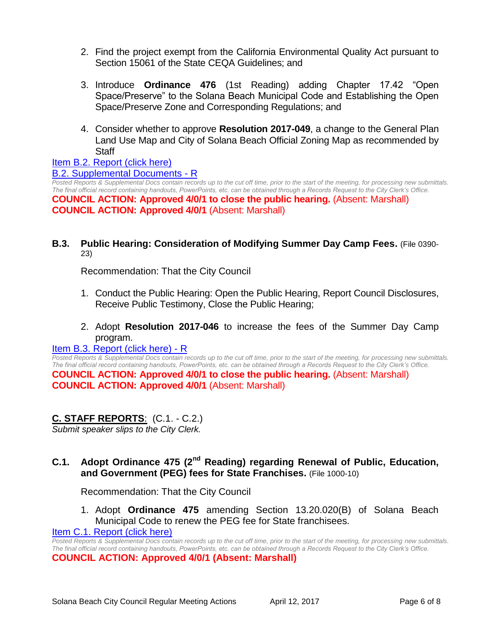- 2. Find the project exempt from the California Environmental Quality Act pursuant to Section 15061 of the State CEQA Guidelines; and
- 3. Introduce **Ordinance 476** (1st Reading) adding Chapter 17.42 "Open Space/Preserve" to the Solana Beach Municipal Code and Establishing the Open Space/Preserve Zone and Corresponding Regulations; and
- 4. Consider whether to approve **Resolution 2017-049**, a change to the General Plan Land Use Map and City of Solana Beach Official Zoning Map as recommended by **Staff**

#### [Item B.2. Report \(click here\)](https://solanabeach.govoffice3.com/vertical/Sites/%7B840804C2-F869-4904-9AE3-720581350CE7%7D/uploads/Item_B.2._Report_(Click_here)_4-12-17.PDF)

#### [B.2. Supplemental Documents -](https://solanabeach.govoffice3.com/vertical/Sites/%7B840804C2-F869-4904-9AE3-720581350CE7%7D/uploads/B.2._Supplemental_Documents_4-10-17_-_R.pdf) R

*Posted Reports & Supplemental Docs contain records up to the cut off time, prior to the start of the meeting, for processing new submittals. The final official record containing handouts, PowerPoints, etc. can be obtained through a Records Request to the City Clerk's Office.* **COUNCIL ACTION: Approved 4/0/1 to close the public hearing.** (Absent: Marshall) **COUNCIL ACTION: Approved 4/0/1** (Absent: Marshall)

#### **B.3. Public Hearing: Consideration of Modifying Summer Day Camp Fees.** (File 0390- 23)

Recommendation: That the City Council

- 1. Conduct the Public Hearing: Open the Public Hearing, Report Council Disclosures, Receive Public Testimony, Close the Public Hearing;
- 2. Adopt **Resolution 2017-046** to increase the fees of the Summer Day Camp program.

#### [Item B.3. Report \(click here\) -](https://solanabeach.govoffice3.com/vertical/Sites/%7B840804C2-F869-4904-9AE3-720581350CE7%7D/uploads/Item_B.3._Report_(Click_here)_4-12-17_-_R.pdf) R

*Posted Reports & Supplemental Docs contain records up to the cut off time, prior to the start of the meeting, for processing new submittals. The final official record containing handouts, PowerPoints, etc. can be obtained through a Records Request to the City Clerk's Office.* **COUNCIL ACTION: Approved 4/0/1 to close the public hearing.** (Absent: Marshall) **COUNCIL ACTION: Approved 4/0/1** (Absent: Marshall)

# **C. STAFF REPORTS**: (C.1. - C.2.)

*Submit speaker slips to the City Clerk.*

# **C.1. Adopt Ordinance 475 (2nd Reading) regarding Renewal of Public, Education, and Government (PEG) fees for State Franchises.** (File 1000-10)

Recommendation: That the City Council

1. Adopt **Ordinance 475** amending Section 13.20.020(B) of Solana Beach Municipal Code to renew the PEG fee for State franchisees.

[Item C.1. Report \(click here\)](https://solanabeach.govoffice3.com/vertical/Sites/%7B840804C2-F869-4904-9AE3-720581350CE7%7D/uploads/Item_C.1._Report_(Click_here)_4-12-17.PDF)

*Posted Reports & Supplemental Docs contain records up to the cut off time, prior to the start of the meeting, for processing new submittals. The final official record containing handouts, PowerPoints, etc. can be obtained through a Records Request to the City Clerk's Office.* **COUNCIL ACTION: Approved 4/0/1 (Absent: Marshall)**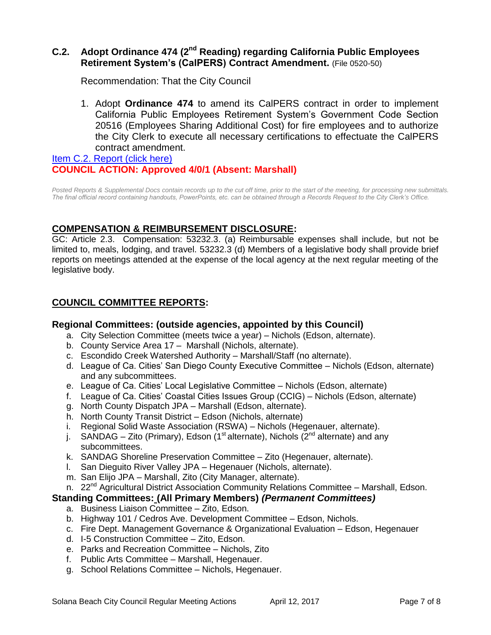# **C.2. Adopt Ordinance 474 (2nd Reading) regarding California Public Employees Retirement System's (CalPERS) Contract Amendment.** (File 0520-50)

Recommendation: That the City Council

1. Adopt **Ordinance 474** to amend its CalPERS contract in order to implement California Public Employees Retirement System's Government Code Section 20516 (Employees Sharing Additional Cost) for fire employees and to authorize the City Clerk to execute all necessary certifications to effectuate the CalPERS contract amendment.

[Item C.2. Report \(click here\)](https://solanabeach.govoffice3.com/vertical/Sites/%7B840804C2-F869-4904-9AE3-720581350CE7%7D/uploads/Iltem_C.2._Report_(Click_here)_4-12-17.PDF) **COUNCIL ACTION: Approved 4/0/1 (Absent: Marshall)** 

*Posted Reports & Supplemental Docs contain records up to the cut off time, prior to the start of the meeting, for processing new submittals. The final official record containing handouts, PowerPoints, etc. can be obtained through a Records Request to the City Clerk's Office.*

# **COMPENSATION & REIMBURSEMENT DISCLOSURE:**

GC: Article 2.3. Compensation: 53232.3. (a) Reimbursable expenses shall include, but not be limited to, meals, lodging, and travel. 53232.3 (d) Members of a legislative body shall provide brief reports on meetings attended at the expense of the local agency at the next regular meeting of the legislative body.

# **COUNCIL COMMITTEE REPORTS:**

# **Regional Committees: (outside agencies, appointed by this Council)**

- a. City Selection Committee (meets twice a year) Nichols (Edson, alternate).
- b. County Service Area 17 Marshall (Nichols, alternate).
- c. Escondido Creek Watershed Authority Marshall/Staff (no alternate).
- d. League of Ca. Cities' San Diego County Executive Committee Nichols (Edson, alternate) and any subcommittees.
- e. League of Ca. Cities' Local Legislative Committee Nichols (Edson, alternate)
- f. League of Ca. Cities' Coastal Cities Issues Group (CCIG) Nichols (Edson, alternate)
- g. North County Dispatch JPA Marshall (Edson, alternate).
- h. North County Transit District Edson (Nichols, alternate)
- i. Regional Solid Waste Association (RSWA) Nichols (Hegenauer, alternate).
- j. SANDAG Zito (Primary), Edson (1<sup>st</sup> alternate), Nichols ( $2<sup>nd</sup>$  alternate) and any subcommittees.
- k. SANDAG Shoreline Preservation Committee Zito (Hegenauer, alternate).
- l. San Dieguito River Valley JPA Hegenauer (Nichols, alternate).
- m. San Elijo JPA Marshall, Zito (City Manager, alternate).
- n. 22<sup>nd</sup> Agricultural District Association Community Relations Committee Marshall, Edson.

#### **Standing Committees: (All Primary Members)** *(Permanent Committees)*

- a. Business Liaison Committee Zito, Edson.
- b. Highway 101 / Cedros Ave. Development Committee Edson, Nichols.
- c. Fire Dept. Management Governance & Organizational Evaluation Edson, Hegenauer
- d. I-5 Construction Committee Zito, Edson.
- e. Parks and Recreation Committee Nichols, Zito
- f. Public Arts Committee Marshall, Hegenauer.
- g. School Relations Committee Nichols, Hegenauer.